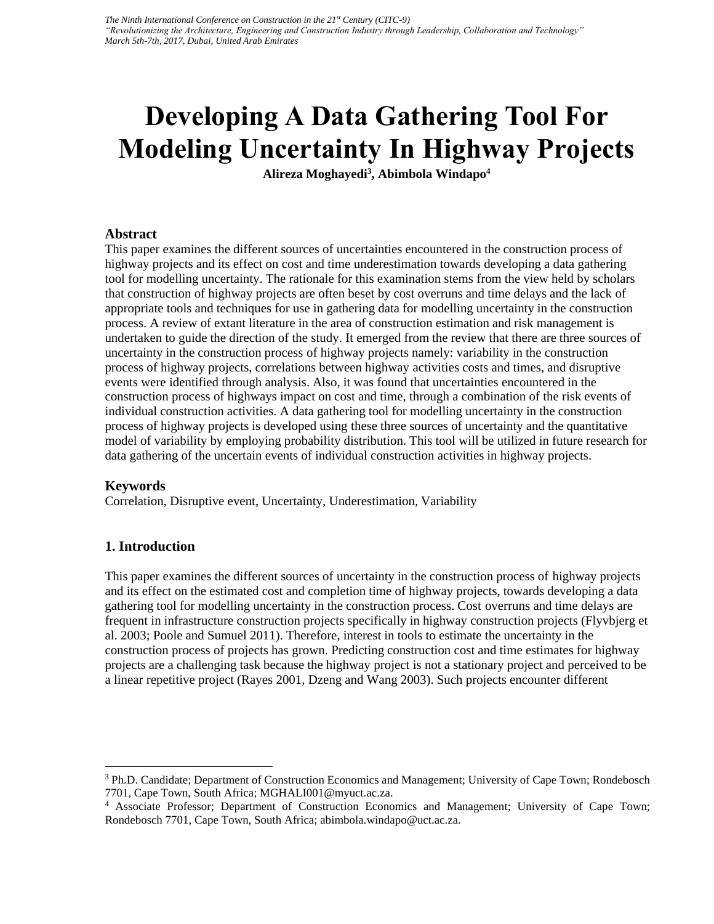# **Developing A Data Gathering Tool For Modeling Uncertainty In Highway Projects**

**Alireza Moghayedi<sup>3</sup> , Abimbola Windapo<sup>4</sup>**

#### **Abstract**

This paper examines the different sources of uncertainties encountered in the construction process of highway projects and its effect on cost and time underestimation towards developing a data gathering tool for modelling uncertainty. The rationale for this examination stems from the view held by scholars that construction of highway projects are often beset by cost overruns and time delays and the lack of appropriate tools and techniques for use in gathering data for modelling uncertainty in the construction process. A review of extant literature in the area of construction estimation and risk management is undertaken to guide the direction of the study. It emerged from the review that there are three sources of uncertainty in the construction process of highway projects namely: variability in the construction process of highway projects, correlations between highway activities costs and times, and disruptive events were identified through analysis. Also, it was found that uncertainties encountered in the construction process of highways impact on cost and time, through a combination of the risk events of individual construction activities. A data gathering tool for modelling uncertainty in the construction process of highway projects is developed using these three sources of uncertainty and the quantitative model of variability by employing probability distribution. This tool will be utilized in future research for data gathering of the uncertain events of individual construction activities in highway projects.

#### **Keywords**

Correlation, Disruptive event, Uncertainty, Underestimation, Variability

## **1. Introduction**

This paper examines the different sources of uncertainty in the construction process of highway projects and its effect on the estimated cost and completion time of highway projects, towards developing a data gathering tool for modelling uncertainty in the construction process. Cost overruns and time delays are frequent in infrastructure construction projects specifically in highway construction projects (Flyvbjerg et al. 2003; Poole and Sumuel 2011). Therefore, interest in tools to estimate the uncertainty in the construction process of projects has grown. Predicting construction cost and time estimates for highway projects are a challenging task because the highway project is not a stationary project and perceived to be a linear repetitive project (Rayes 2001, Dzeng and Wang 2003). Such projects encounter different

<sup>&</sup>lt;sup>3</sup> Ph.D. Candidate; Department of Construction Economics and Management; University of Cape Town; Rondebosch 7701, Cape Town, South Africa; MGHALI001@myuct.ac.za.

<sup>4</sup> Associate Professor; Department of Construction Economics and Management; University of Cape Town; Rondebosch 7701, Cape Town, South Africa; abimbola.windapo@uct.ac.za.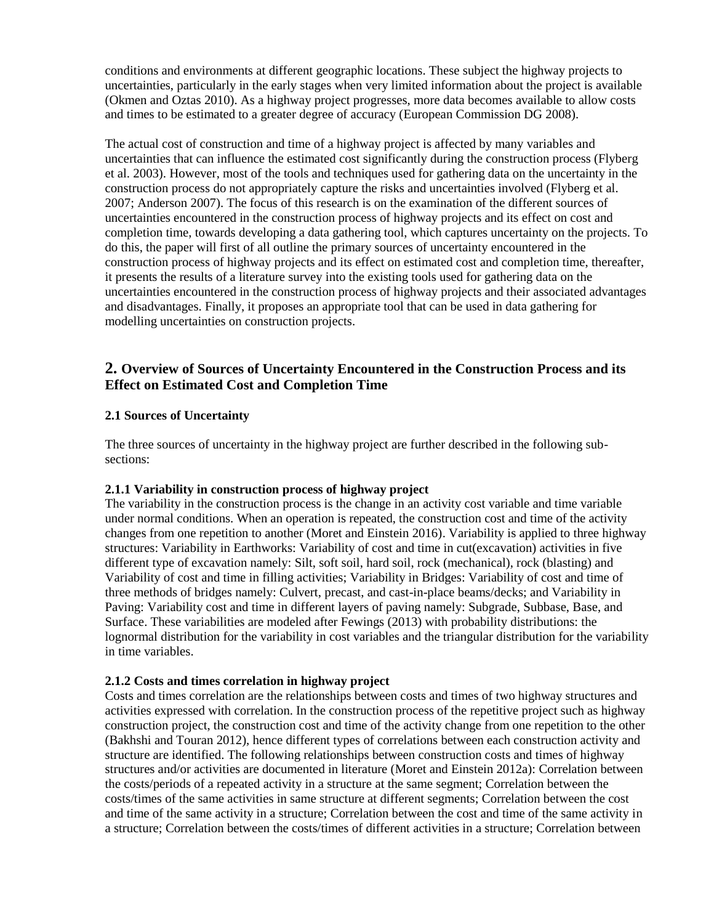conditions and environments at different geographic locations. These subject the highway projects to uncertainties, particularly in the early stages when very limited information about the project is available (Okmen and Oztas 2010). As a highway project progresses, more data becomes available to allow costs and times to be estimated to a greater degree of accuracy (European Commission DG 2008).

The actual cost of construction and time of a highway project is affected by many variables and uncertainties that can influence the estimated cost significantly during the construction process (Flyberg et al. 2003). However, most of the tools and techniques used for gathering data on the uncertainty in the construction process do not appropriately capture the risks and uncertainties involved (Flyberg et al. 2007; Anderson 2007). The focus of this research is on the examination of the different sources of uncertainties encountered in the construction process of highway projects and its effect on cost and completion time, towards developing a data gathering tool, which captures uncertainty on the projects. To do this, the paper will first of all outline the primary sources of uncertainty encountered in the construction process of highway projects and its effect on estimated cost and completion time, thereafter, it presents the results of a literature survey into the existing tools used for gathering data on the uncertainties encountered in the construction process of highway projects and their associated advantages and disadvantages. Finally, it proposes an appropriate tool that can be used in data gathering for modelling uncertainties on construction projects.

# **2. Overview of Sources of Uncertainty Encountered in the Construction Process and its Effect on Estimated Cost and Completion Time**

#### **2.1 Sources of Uncertainty**

The three sources of uncertainty in the highway project are further described in the following subsections:

#### **2.1.1 Variability in construction process of highway project**

The variability in the construction process is the change in an activity cost variable and time variable under normal conditions. When an operation is repeated, the construction cost and time of the activity changes from one repetition to another (Moret and Einstein 2016). Variability is applied to three highway structures: Variability in Earthworks: Variability of cost and time in cut(excavation) activities in five different type of excavation namely: Silt, soft soil, hard soil, rock (mechanical), rock (blasting) and Variability of cost and time in filling activities; Variability in Bridges: Variability of cost and time of three methods of bridges namely: Culvert, precast, and cast-in-place beams/decks; and Variability in Paving: Variability cost and time in different layers of paving namely: Subgrade, Subbase, Base, and Surface. These variabilities are modeled after Fewings (2013) with probability distributions: the lognormal distribution for the variability in cost variables and the triangular distribution for the variability in time variables.

#### **2.1.2 Costs and times correlation in highway project**

Costs and times correlation are the relationships between costs and times of two highway structures and activities expressed with correlation. In the construction process of the repetitive project such as highway construction project, the construction cost and time of the activity change from one repetition to the other (Bakhshi and Touran 2012), hence different types of correlations between each construction activity and structure are identified. The following relationships between construction costs and times of highway structures and/or activities are documented in literature (Moret and Einstein 2012a): Correlation between the costs/periods of a repeated activity in a structure at the same segment; Correlation between the costs/times of the same activities in same structure at different segments; Correlation between the cost and time of the same activity in a structure; Correlation between the cost and time of the same activity in a structure; Correlation between the costs/times of different activities in a structure; Correlation between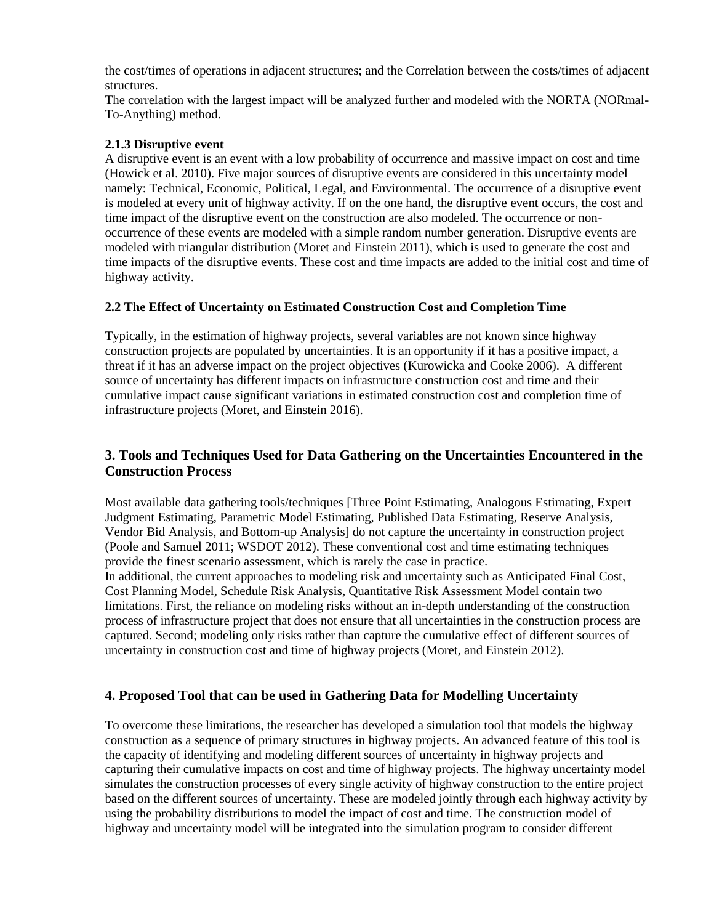the cost/times of operations in adjacent structures; and the Correlation between the costs/times of adjacent structures.

The correlation with the largest impact will be analyzed further and modeled with the NORTA (NORmal-To-Anything) method.

## **2.1.3 Disruptive event**

A disruptive event is an event with a low probability of occurrence and massive impact on cost and time (Howick et al. 2010). Five major sources of disruptive events are considered in this uncertainty model namely: Technical, Economic, Political, Legal, and Environmental. The occurrence of a disruptive event is modeled at every unit of highway activity. If on the one hand, the disruptive event occurs, the cost and time impact of the disruptive event on the construction are also modeled. The occurrence or nonoccurrence of these events are modeled with a simple random number generation. Disruptive events are modeled with triangular distribution (Moret and Einstein 2011), which is used to generate the cost and time impacts of the disruptive events. These cost and time impacts are added to the initial cost and time of highway activity.

## **2.2 The Effect of Uncertainty on Estimated Construction Cost and Completion Time**

Typically, in the estimation of highway projects, several variables are not known since highway construction projects are populated by uncertainties. It is an opportunity if it has a positive impact, a threat if it has an adverse impact on the project objectives (Kurowicka and Cooke 2006). A different source of uncertainty has different impacts on infrastructure construction cost and time and their cumulative impact cause significant variations in estimated construction cost and completion time of infrastructure projects (Moret, and Einstein 2016).

# **3. Tools and Techniques Used for Data Gathering on the Uncertainties Encountered in the Construction Process**

Most available data gathering tools/techniques [Three Point Estimating, Analogous Estimating, Expert Judgment Estimating, Parametric Model Estimating, Published Data Estimating, Reserve Analysis, Vendor Bid Analysis, and Bottom-up Analysis] do not capture the uncertainty in construction project (Poole and Samuel 2011; WSDOT 2012). These conventional cost and time estimating techniques provide the finest scenario assessment, which is rarely the case in practice. In additional, the current approaches to modeling risk and uncertainty such as Anticipated Final Cost, Cost Planning Model, Schedule Risk Analysis, Quantitative Risk Assessment Model contain two limitations. First, the reliance on modeling risks without an in-depth understanding of the construction process of infrastructure project that does not ensure that all uncertainties in the construction process are captured. Second; modeling only risks rather than capture the cumulative effect of different sources of uncertainty in construction cost and time of highway projects (Moret, and Einstein 2012).

## **4. Proposed Tool that can be used in Gathering Data for Modelling Uncertainty**

To overcome these limitations, the researcher has developed a simulation tool that models the highway construction as a sequence of primary structures in highway projects. An advanced feature of this tool is the capacity of identifying and modeling different sources of uncertainty in highway projects and capturing their cumulative impacts on cost and time of highway projects. The highway uncertainty model simulates the construction processes of every single activity of highway construction to the entire project based on the different sources of uncertainty. These are modeled jointly through each highway activity by using the probability distributions to model the impact of cost and time. The construction model of highway and uncertainty model will be integrated into the simulation program to consider different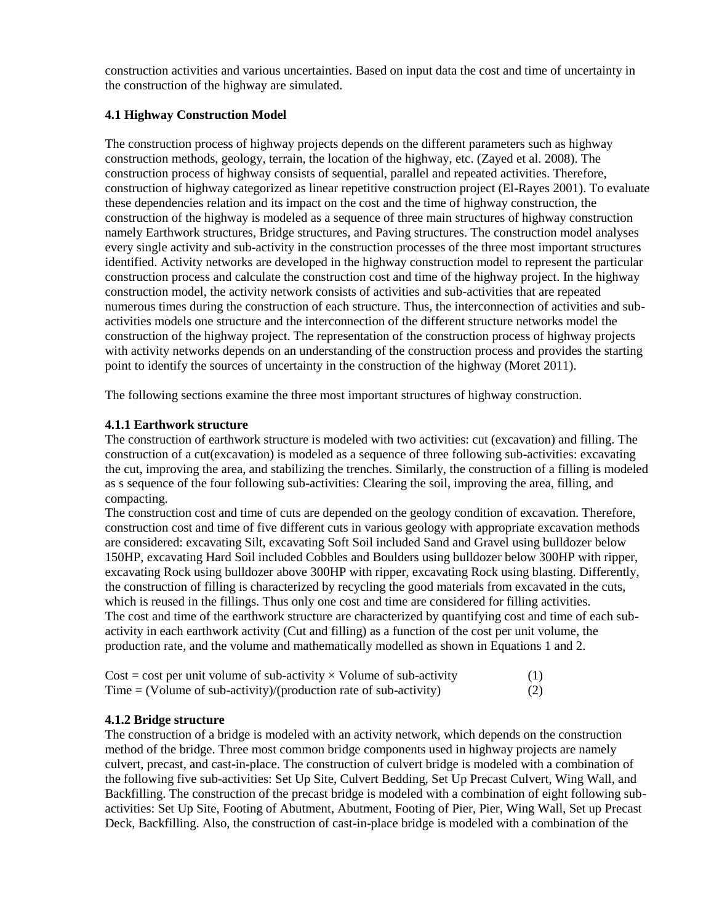construction activities and various uncertainties. Based on input data the cost and time of uncertainty in the construction of the highway are simulated.

## **4.1 Highway Construction Model**

The construction process of highway projects depends on the different parameters such as highway construction methods, geology, terrain, the location of the highway, etc. (Zayed et al. 2008). The construction process of highway consists of sequential, parallel and repeated activities. Therefore, construction of highway categorized as linear repetitive construction project (El-Rayes 2001). To evaluate these dependencies relation and its impact on the cost and the time of highway construction, the construction of the highway is modeled as a sequence of three main structures of highway construction namely Earthwork structures, Bridge structures, and Paving structures. The construction model analyses every single activity and sub-activity in the construction processes of the three most important structures identified. Activity networks are developed in the highway construction model to represent the particular construction process and calculate the construction cost and time of the highway project. In the highway construction model, the activity network consists of activities and sub-activities that are repeated numerous times during the construction of each structure. Thus, the interconnection of activities and subactivities models one structure and the interconnection of the different structure networks model the construction of the highway project. The representation of the construction process of highway projects with activity networks depends on an understanding of the construction process and provides the starting point to identify the sources of uncertainty in the construction of the highway (Moret 2011).

The following sections examine the three most important structures of highway construction.

## **4.1.1 Earthwork structure**

The construction of earthwork structure is modeled with two activities: cut (excavation) and filling. The construction of a cut(excavation) is modeled as a sequence of three following sub-activities: excavating the cut, improving the area, and stabilizing the trenches. Similarly, the construction of a filling is modeled as s sequence of the four following sub-activities: Clearing the soil, improving the area, filling, and compacting.

The construction cost and time of cuts are depended on the geology condition of excavation. Therefore, construction cost and time of five different cuts in various geology with appropriate excavation methods are considered: excavating Silt, excavating Soft Soil included Sand and Gravel using bulldozer below 150HP, excavating Hard Soil included Cobbles and Boulders using bulldozer below 300HP with ripper, excavating Rock using bulldozer above 300HP with ripper, excavating Rock using blasting. Differently, the construction of filling is characterized by recycling the good materials from excavated in the cuts, which is reused in the fillings. Thus only one cost and time are considered for filling activities. The cost and time of the earthwork structure are characterized by quantifying cost and time of each subactivity in each earthwork activity (Cut and filling) as a function of the cost per unit volume, the production rate, and the volume and mathematically modelled as shown in Equations 1 and 2.

| $Cost = cost$ per unit volume of sub-activity $\times$ Volume of sub-activity | (1) |
|-------------------------------------------------------------------------------|-----|
| Time = (Volume of sub-activity)/(production rate of sub-activity)             | (2) |

#### **4.1.2 Bridge structure**

The construction of a bridge is modeled with an activity network, which depends on the construction method of the bridge. Three most common bridge components used in highway projects are namely culvert, precast, and cast-in-place. The construction of culvert bridge is modeled with a combination of the following five sub-activities: Set Up Site, Culvert Bedding, Set Up Precast Culvert, Wing Wall, and Backfilling. The construction of the precast bridge is modeled with a combination of eight following subactivities: Set Up Site, Footing of Abutment, Abutment, Footing of Pier, Pier, Wing Wall, Set up Precast Deck, Backfilling. Also, the construction of cast-in-place bridge is modeled with a combination of the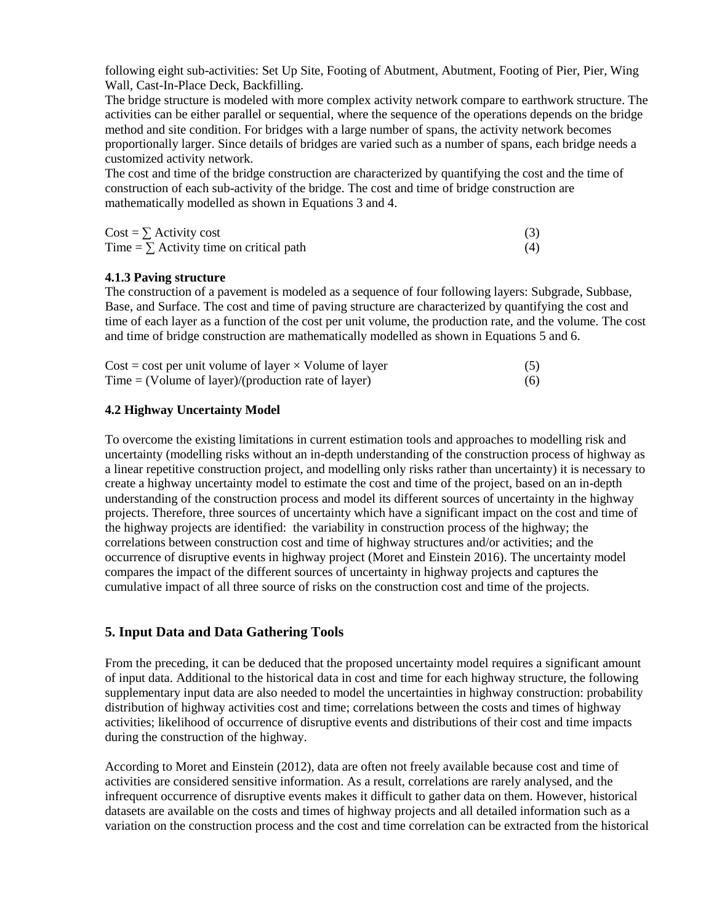following eight sub-activities: Set Up Site, Footing of Abutment, Abutment, Footing of Pier, Pier, Wing Wall, Cast-In-Place Deck, Backfilling.

The bridge structure is modeled with more complex activity network compare to earthwork structure. The activities can be either parallel or sequential, where the sequence of the operations depends on the bridge method and site condition. For bridges with a large number of spans, the activity network becomes proportionally larger. Since details of bridges are varied such as a number of spans, each bridge needs a customized activity network.

The cost and time of the bridge construction are characterized by quantifying the cost and the time of construction of each sub-activity of the bridge. The cost and time of bridge construction are mathematically modelled as shown in Equations 3 and 4.

| $Cost = \sum$ Activity cost                    |  |
|------------------------------------------------|--|
| Time = $\Sigma$ Activity time on critical path |  |

#### **4.1.3 Paving structure**

The construction of a pavement is modeled as a sequence of four following layers: Subgrade, Subbase, Base, and Surface. The cost and time of paving structure are characterized by quantifying the cost and time of each layer as a function of the cost per unit volume, the production rate, and the volume. The cost and time of bridge construction are mathematically modelled as shown in Equations 5 and 6.

| $Cost = cost$ per unit volume of layer $\times$ Volume of layer | (5) |
|-----------------------------------------------------------------|-----|
| Time = (Volume of layer)/(production rate of layer)             | (6) |

#### **4.2 Highway Uncertainty Model**

To overcome the existing limitations in current estimation tools and approaches to modelling risk and uncertainty (modelling risks without an in-depth understanding of the construction process of highway as a linear repetitive construction project, and modelling only risks rather than uncertainty) it is necessary to create a highway uncertainty model to estimate the cost and time of the project, based on an in-depth understanding of the construction process and model its different sources of uncertainty in the highway projects. Therefore, three sources of uncertainty which have a significant impact on the cost and time of the highway projects are identified: the variability in construction process of the highway; the correlations between construction cost and time of highway structures and/or activities; and the occurrence of disruptive events in highway project (Moret and Einstein 2016). The uncertainty model compares the impact of the different sources of uncertainty in highway projects and captures the cumulative impact of all three source of risks on the construction cost and time of the projects.

#### **5. Input Data and Data Gathering Tools**

From the preceding, it can be deduced that the proposed uncertainty model requires a significant amount of input data. Additional to the historical data in cost and time for each highway structure, the following supplementary input data are also needed to model the uncertainties in highway construction: probability distribution of highway activities cost and time; correlations between the costs and times of highway activities; likelihood of occurrence of disruptive events and distributions of their cost and time impacts during the construction of the highway.

According to Moret and Einstein (2012), data are often not freely available because cost and time of activities are considered sensitive information. As a result, correlations are rarely analysed, and the infrequent occurrence of disruptive events makes it difficult to gather data on them. However, historical datasets are available on the costs and times of highway projects and all detailed information such as a variation on the construction process and the cost and time correlation can be extracted from the historical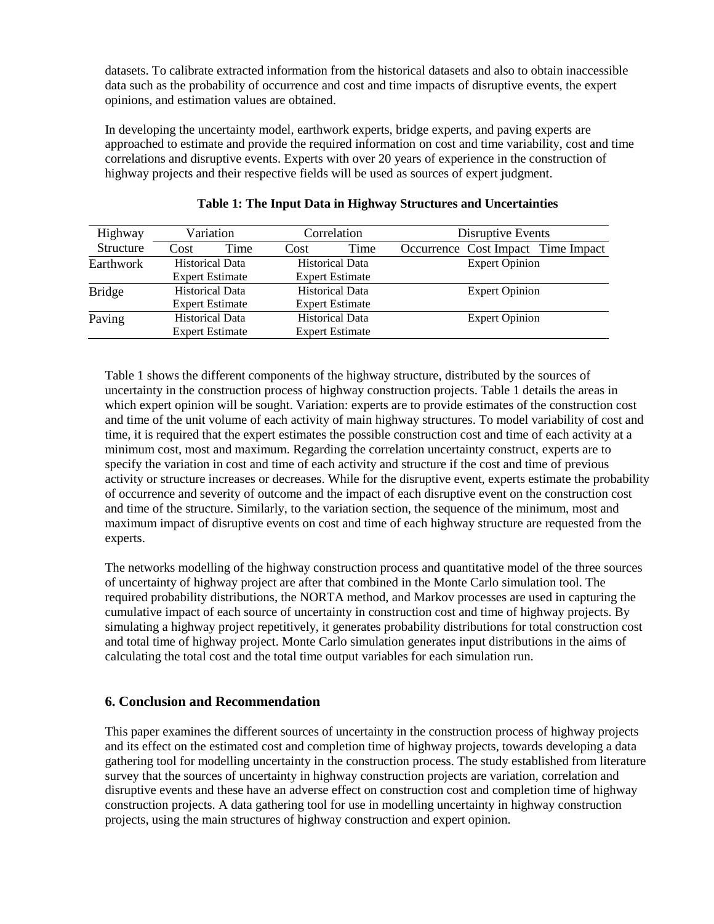datasets. To calibrate extracted information from the historical datasets and also to obtain inaccessible data such as the probability of occurrence and cost and time impacts of disruptive events, the expert opinions, and estimation values are obtained.

In developing the uncertainty model, earthwork experts, bridge experts, and paving experts are approached to estimate and provide the required information on cost and time variability, cost and time correlations and disruptive events. Experts with over 20 years of experience in the construction of highway projects and their respective fields will be used as sources of expert judgment.

| Highway       | Variation              |                        | Correlation            |                        | Disruptive Events     |                       |                                    |
|---------------|------------------------|------------------------|------------------------|------------------------|-----------------------|-----------------------|------------------------------------|
| Structure     | Cost                   | Time                   | Cost                   | Time                   |                       |                       | Occurrence Cost Impact Time Impact |
| Earthwork     | <b>Historical Data</b> |                        | <b>Historical Data</b> |                        | <b>Expert Opinion</b> |                       |                                    |
|               |                        | <b>Expert Estimate</b> |                        | <b>Expert Estimate</b> |                       |                       |                                    |
| <b>Bridge</b> | <b>Historical Data</b> |                        | <b>Historical Data</b> |                        |                       | <b>Expert Opinion</b> |                                    |
|               | <b>Expert Estimate</b> |                        | <b>Expert Estimate</b> |                        |                       |                       |                                    |
| Paving        | <b>Historical Data</b> |                        | <b>Historical Data</b> |                        | <b>Expert Opinion</b> |                       |                                    |
|               |                        | <b>Expert Estimate</b> |                        | <b>Expert Estimate</b> |                       |                       |                                    |

## **Table 1: The Input Data in Highway Structures and Uncertainties**

Table 1 shows the different components of the highway structure, distributed by the sources of uncertainty in the construction process of highway construction projects. Table 1 details the areas in which expert opinion will be sought. Variation: experts are to provide estimates of the construction cost and time of the unit volume of each activity of main highway structures. To model variability of cost and time, it is required that the expert estimates the possible construction cost and time of each activity at a minimum cost, most and maximum. Regarding the correlation uncertainty construct, experts are to specify the variation in cost and time of each activity and structure if the cost and time of previous activity or structure increases or decreases. While for the disruptive event, experts estimate the probability of occurrence and severity of outcome and the impact of each disruptive event on the construction cost and time of the structure. Similarly, to the variation section, the sequence of the minimum, most and maximum impact of disruptive events on cost and time of each highway structure are requested from the experts.

The networks modelling of the highway construction process and quantitative model of the three sources of uncertainty of highway project are after that combined in the Monte Carlo simulation tool. The required probability distributions, the NORTA method, and Markov processes are used in capturing the cumulative impact of each source of uncertainty in construction cost and time of highway projects. By simulating a highway project repetitively, it generates probability distributions for total construction cost and total time of highway project. Monte Carlo simulation generates input distributions in the aims of calculating the total cost and the total time output variables for each simulation run.

## **6. Conclusion and Recommendation**

This paper examines the different sources of uncertainty in the construction process of highway projects and its effect on the estimated cost and completion time of highway projects, towards developing a data gathering tool for modelling uncertainty in the construction process. The study established from literature survey that the sources of uncertainty in highway construction projects are variation, correlation and disruptive events and these have an adverse effect on construction cost and completion time of highway construction projects. A data gathering tool for use in modelling uncertainty in highway construction projects, using the main structures of highway construction and expert opinion.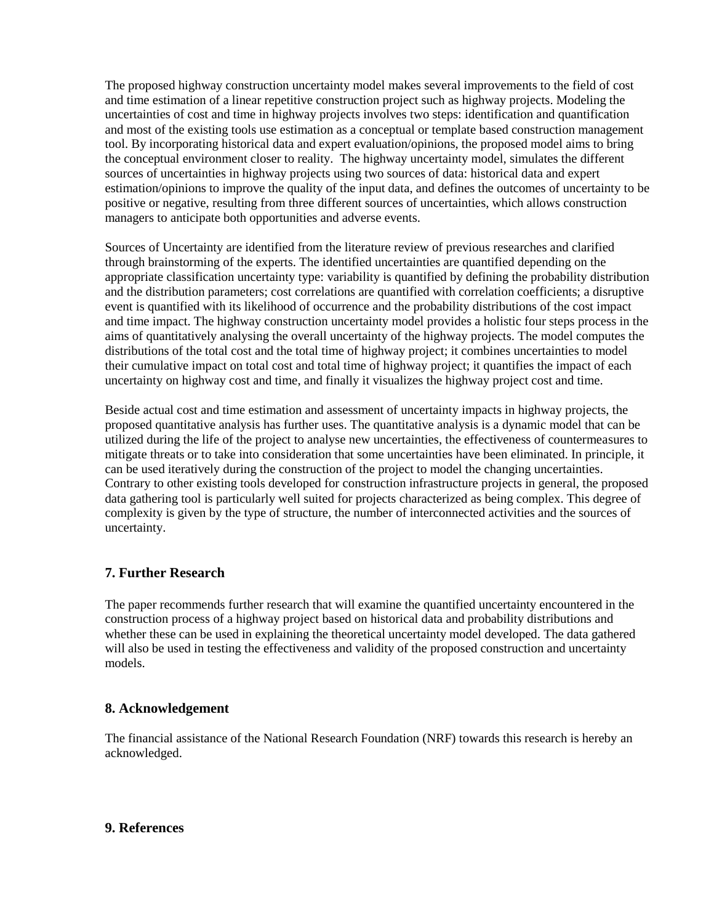The proposed highway construction uncertainty model makes several improvements to the field of cost and time estimation of a linear repetitive construction project such as highway projects. Modeling the uncertainties of cost and time in highway projects involves two steps: identification and quantification and most of the existing tools use estimation as a conceptual or template based construction management tool. By incorporating historical data and expert evaluation/opinions, the proposed model aims to bring the conceptual environment closer to reality. The highway uncertainty model, simulates the different sources of uncertainties in highway projects using two sources of data: historical data and expert estimation/opinions to improve the quality of the input data, and defines the outcomes of uncertainty to be positive or negative, resulting from three different sources of uncertainties, which allows construction managers to anticipate both opportunities and adverse events.

Sources of Uncertainty are identified from the literature review of previous researches and clarified through brainstorming of the experts. The identified uncertainties are quantified depending on the appropriate classification uncertainty type: variability is quantified by defining the probability distribution and the distribution parameters; cost correlations are quantified with correlation coefficients; a disruptive event is quantified with its likelihood of occurrence and the probability distributions of the cost impact and time impact. The highway construction uncertainty model provides a holistic four steps process in the aims of quantitatively analysing the overall uncertainty of the highway projects. The model computes the distributions of the total cost and the total time of highway project; it combines uncertainties to model their cumulative impact on total cost and total time of highway project; it quantifies the impact of each uncertainty on highway cost and time, and finally it visualizes the highway project cost and time.

Beside actual cost and time estimation and assessment of uncertainty impacts in highway projects, the proposed quantitative analysis has further uses. The quantitative analysis is a dynamic model that can be utilized during the life of the project to analyse new uncertainties, the effectiveness of countermeasures to mitigate threats or to take into consideration that some uncertainties have been eliminated. In principle, it can be used iteratively during the construction of the project to model the changing uncertainties. Contrary to other existing tools developed for construction infrastructure projects in general, the proposed data gathering tool is particularly well suited for projects characterized as being complex. This degree of complexity is given by the type of structure, the number of interconnected activities and the sources of uncertainty.

## **7. Further Research**

The paper recommends further research that will examine the quantified uncertainty encountered in the construction process of a highway project based on historical data and probability distributions and whether these can be used in explaining the theoretical uncertainty model developed. The data gathered will also be used in testing the effectiveness and validity of the proposed construction and uncertainty models.

## **8. Acknowledgement**

The financial assistance of the National Research Foundation (NRF) towards this research is hereby an acknowledged.

#### **9. References**